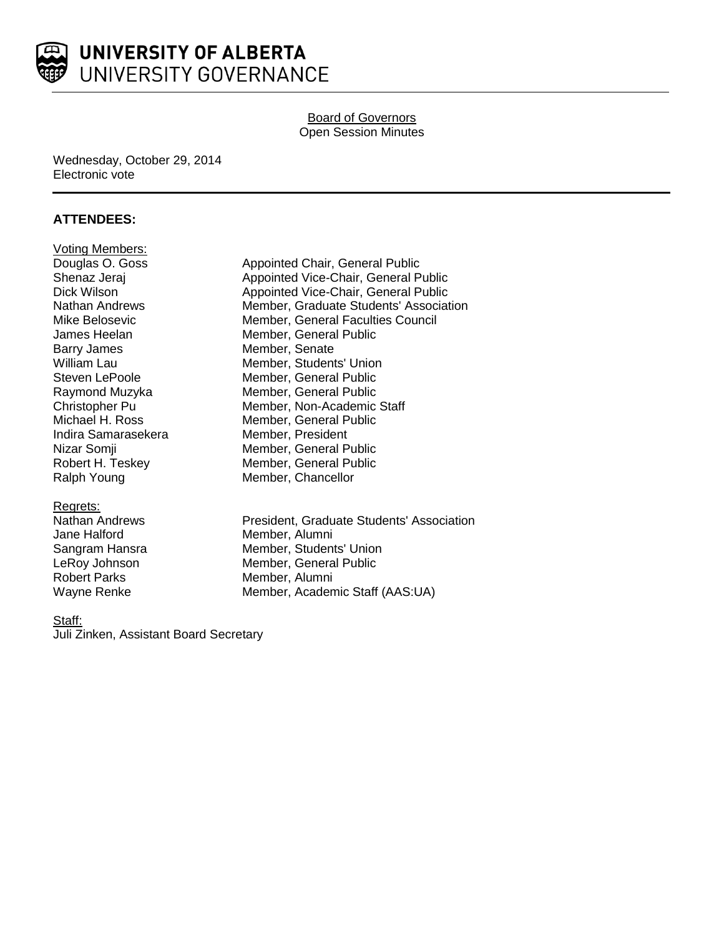

## Board of Governors Open Session Minutes

### Wednesday, October 29, 2014 Electronic vote

## **ATTENDEES:**

| <b>Voting Members:</b> |
|------------------------|
| Douglas O. Goss        |
| Shenaz Jeraj           |
| Dick Wilson            |
| Nathan Andrews         |
| Mike Belosevic         |
| James Heelan           |
| Barry James            |
| William Lau            |
| Steven LePoole         |
| Raymond Muzyka         |
| Christopher Pu         |
| Michael H. Ross        |
| Indira Samarasekera    |
| Nizar Somji            |
| Robert H. Teskey       |
| Ralph Young            |

#### Regrets:

Jane Halford **Member**, Alumni Robert Parks Member, Alumni

Appointed Chair, General Public Appointed Vice-Chair, General Public Appointed Vice-Chair, General Public Member, Graduate Students' Association Member, General Faculties Council Member, General Public Member, Senate Member, Students' Union Member, General Public Member, General Public Member, Non-Academic Staff Member, General Public Member, President Member, General Public Member, General Public Member, Chancellor

Nathan Andrews President, Graduate Students' Association Sangram Hansra Member, Students' Union LeRoy Johnson Member, General Public Wayne Renke Member, Academic Staff (AAS:UA)

#### Staff:

Juli Zinken, Assistant Board Secretary